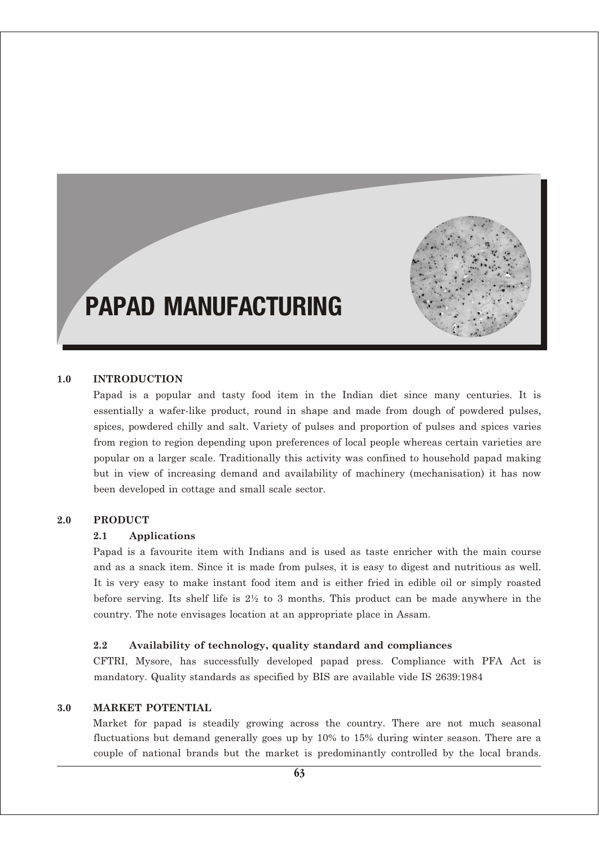

# PAPAD MANUFACTURING

## **1.0 INTRODUCTION**

Papad is a popular and tasty food item in the Indian diet since many centuries. It is essentially a wafer-like product, round in shape and made from dough of powdered pulses, spices, powdered chilly and salt. Variety of pulses and proportion of pulses and spices varies from region to region depending upon preferences of local people whereas certain varieties are popular on a larger scale. Traditionally this activity was confined to household papad making but in view of increasing demand and availability of machinery (mechanisation) it has now been developed in cottage and small scale sector.

#### **2.0 PRODUCT**

## **2.1 Applications**

Papad is a favourite item with Indians and is used as taste enricher with the main course and as a snack item. Since it is made from pulses, it is easy to digest and nutritious as well. It is very easy to make instant food item and is either fried in edible oil or simply roasted before serving. Its shelf life is 2½ to 3 months. This product can be made anywhere in the country. The note envisages location at an appropriate place in Assam.

## **2.2 Availability of technology, quality standard and compliances**

CFTRI, Mysore, has successfully developed papad press. Compliance with PFA Act is mandatory. Quality standards as specified by BIS are available vide IS 2639:1984

## **3.0 MARKET POTENTIAL**

Market for papad is steadily growing across the country. There are not much seasonal fluctuations but demand generally goes up by 10% to 15% during winter season. There are a couple of national brands but the market is predominantly controlled by the local brands.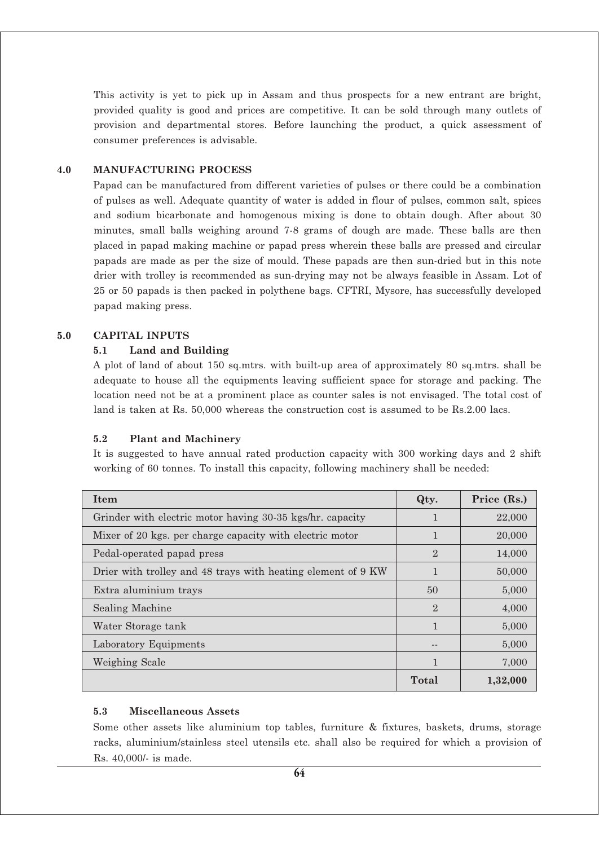This activity is yet to pick up in Assam and thus prospects for a new entrant are bright, provided quality is good and prices are competitive. It can be sold through many outlets of provision and departmental stores. Before launching the product, a quick assessment of consumer preferences is advisable.

#### **4.0 MANUFACTURING PROCESS**

Papad can be manufactured from different varieties of pulses or there could be a combination of pulses as well. Adequate quantity of water is added in flour of pulses, common salt, spices and sodium bicarbonate and homogenous mixing is done to obtain dough. After about 30 minutes, small balls weighing around 7-8 grams of dough are made. These balls are then placed in papad making machine or papad press wherein these balls are pressed and circular papads are made as per the size of mould. These papads are then sun-dried but in this note drier with trolley is recommended as sun-drying may not be always feasible in Assam. Lot of 25 or 50 papads is then packed in polythene bags. CFTRI, Mysore, has successfully developed papad making press.

#### **5.0 CAPITAL INPUTS**

#### **5.1 Land and Building**

A plot of land of about 150 sq.mtrs. with built-up area of approximately 80 sq.mtrs. shall be adequate to house all the equipments leaving sufficient space for storage and packing. The location need not be at a prominent place as counter sales is not envisaged. The total cost of land is taken at Rs. 50,000 whereas the construction cost is assumed to be Rs.2.00 lacs.

## **5.2 Plant and Machinery**

It is suggested to have annual rated production capacity with 300 working days and 2 shift working of 60 tonnes. To install this capacity, following machinery shall be needed:

| Item                                                         | Qty.           | Price (Rs.) |
|--------------------------------------------------------------|----------------|-------------|
| Grinder with electric motor having 30-35 kgs/hr. capacity    |                | 22,000      |
| Mixer of 20 kgs. per charge capacity with electric motor     | 1              | 20,000      |
| Pedal-operated papad press                                   | $\mathfrak{2}$ | 14,000      |
| Drier with trolley and 48 trays with heating element of 9 KW | 1              | 50,000      |
| Extra aluminium trays                                        | 50             | 5,000       |
| Sealing Machine                                              | $\mathfrak{D}$ | 4,000       |
| Water Storage tank                                           | 1              | 5,000       |
| Laboratory Equipments                                        |                | 5,000       |
| Weighing Scale                                               |                | 7,000       |
|                                                              | Total          | 1,32,000    |

#### **5.3 Miscellaneous Assets**

Some other assets like aluminium top tables, furniture & fixtures, baskets, drums, storage racks, aluminium/stainless steel utensils etc. shall also be required for which a provision of Rs. 40,000/- is made.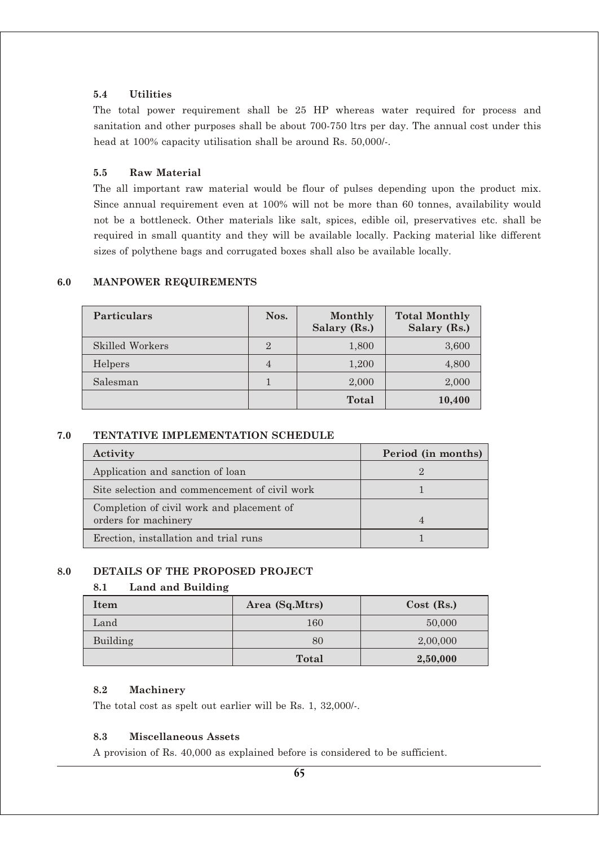## **5.4 Utilities**

The total power requirement shall be 25 HP whereas water required for process and sanitation and other purposes shall be about 700-750 ltrs per day. The annual cost under this head at 100% capacity utilisation shall be around Rs. 50,000/-.

## **5.5 Raw Material**

The all important raw material would be flour of pulses depending upon the product mix. Since annual requirement even at 100% will not be more than 60 tonnes, availability would not be a bottleneck. Other materials like salt, spices, edible oil, preservatives etc. shall be required in small quantity and they will be available locally. Packing material like different sizes of polythene bags and corrugated boxes shall also be available locally.

| <b>Particulars</b> | Nos.           | Monthly<br>Salary (Rs.) | <b>Total Monthly</b><br>Salary (Rs.) |
|--------------------|----------------|-------------------------|--------------------------------------|
| Skilled Workers    | $\overline{2}$ | 1,800                   | 3,600                                |
| Helpers            | $\overline{4}$ | 1,200                   | 4,800                                |
| Salesman           |                | 2,000                   | 2,000                                |
|                    |                | Total                   | 10,400                               |

## **6.0 MANPOWER REQUIREMENTS**

## **7.0 TENTATIVE IMPLEMENTATION SCHEDULE**

| Activity                                                          | Period (in months) |
|-------------------------------------------------------------------|--------------------|
| Application and sanction of loan                                  |                    |
| Site selection and commencement of civil work                     |                    |
| Completion of civil work and placement of<br>orders for machinery |                    |
| Erection, installation and trial runs                             |                    |

## **8.0 DETAILS OF THE PROPOSED PROJECT**

## **8.1 Land and Building**

| Item     | Area (Sq.Mtrs) | $Cost$ (Rs.) |
|----------|----------------|--------------|
| Land     | 160            | 50,000       |
| Building | 80             | 2,00,000     |
|          | <b>Total</b>   | 2,50,000     |

## **8.2 Machinery**

The total cost as spelt out earlier will be Rs. 1, 32,000/-.

## **8.3 Miscellaneous Assets**

A provision of Rs. 40,000 as explained before is considered to be sufficient.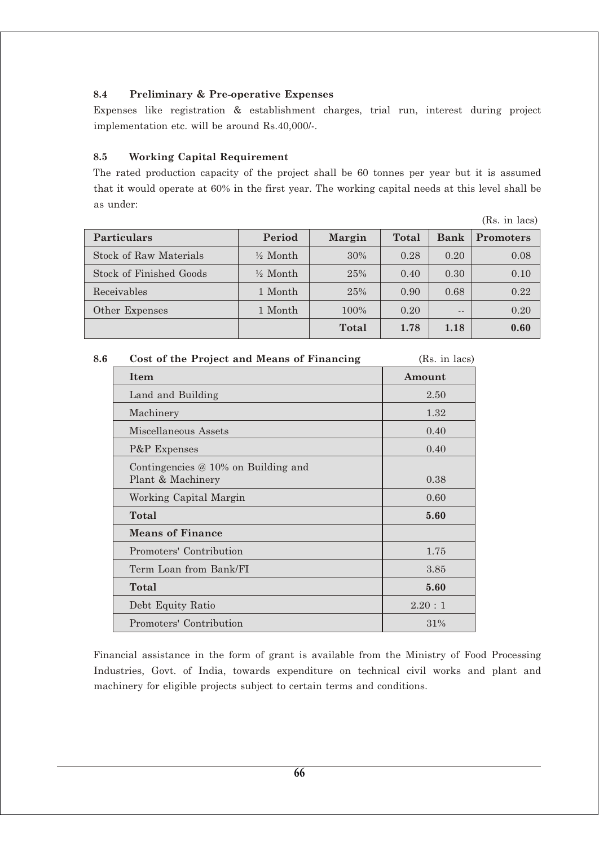## **8.4 Preliminary & Pre-operative Expenses**

Expenses like registration & establishment charges, trial run, interest during project implementation etc. will be around Rs.40,000/-.

## **8.5 Working Capital Requirement**

The rated production capacity of the project shall be 60 tonnes per year but it is assumed that it would operate at 60% in the first year. The working capital needs at this level shall be as under:

(Rs. in lacs)

| <b>Particulars</b>      | Period              | <b>Margin</b> | Total | <b>Bank</b> | <b>Promoters</b> |
|-------------------------|---------------------|---------------|-------|-------------|------------------|
| Stock of Raw Materials  | $\frac{1}{2}$ Month | 30%           | 0.28  | 0.20        | 0.08             |
| Stock of Finished Goods | $\frac{1}{2}$ Month | 25%           | 0.40  | 0.30        | 0.10             |
| Receivables             | 1 Month             | 25%           | 0.90  | 0.68        | 0.22             |
| Other Expenses          | 1 Month             | 100%          | 0.20  | $ -$        | 0.20             |
|                         |                     | <b>Total</b>  | 1.78  | 1.18        | 0.60             |

|                                                            | (Rs. in lacs)                              |
|------------------------------------------------------------|--------------------------------------------|
| Item                                                       | Amount                                     |
| Land and Building                                          | 2.50                                       |
| Machinery                                                  | 1.32                                       |
| Miscellaneous Assets                                       | 0.40                                       |
| P&P Expenses                                               | 0.40                                       |
| Contingencies $@10\%$ on Building and<br>Plant & Machinery | 0.38                                       |
| Working Capital Margin                                     | 0.60                                       |
| Total                                                      | 5.60                                       |
| <b>Means of Finance</b>                                    |                                            |
| Promoters' Contribution                                    | 1.75                                       |
| Term Loan from Bank/FI                                     | 3.85                                       |
| Total                                                      | 5.60                                       |
| Debt Equity Ratio                                          | 2.20:1                                     |
| Promoters' Contribution                                    | 31%                                        |
|                                                            | Cost of the Project and Means of Financing |

Financial assistance in the form of grant is available from the Ministry of Food Processing Industries, Govt. of India, towards expenditure on technical civil works and plant and machinery for eligible projects subject to certain terms and conditions.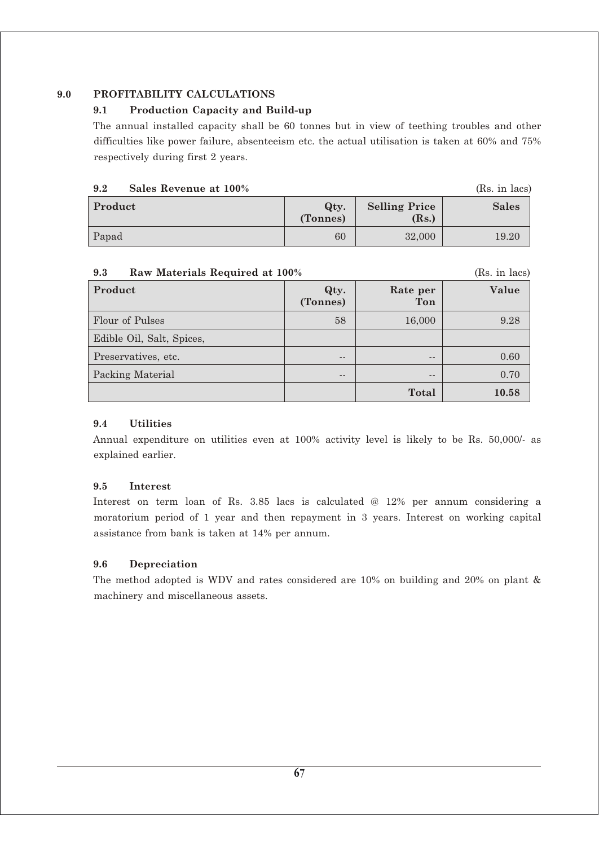## **9.0 PROFITABILITY CALCULATIONS**

## **9.1 Production Capacity and Build-up**

The annual installed capacity shall be 60 tonnes but in view of teething troubles and other difficulties like power failure, absenteeism etc. the actual utilisation is taken at 60% and 75% respectively during first 2 years.

## **9.2 Sales Revenue at 100%** *(Rs. in lacs)*

| Product | Qty.<br>(Tonnes) | <b>Selling Price</b><br>(Rs.) | <b>Sales</b> |
|---------|------------------|-------------------------------|--------------|
| Papad   | 60               | 32,000                        | 19.20        |

#### **9.3 Raw Materials Required at 100%** *CRS. in lacs*

| Product                   | Qty.<br>(Tonnes) | Rate per<br>Ton | Value |
|---------------------------|------------------|-----------------|-------|
| Flour of Pulses           | 58               | 16,000          | 9.28  |
| Edible Oil, Salt, Spices, |                  |                 |       |
| Preservatives, etc.       | $- -$            | $- -$           | 0.60  |
| Packing Material          | $- -$            | $- -$           | 0.70  |
|                           |                  | Total           | 10.58 |

## **9.4 Utilities**

Annual expenditure on utilities even at 100% activity level is likely to be Rs. 50,000/- as explained earlier.

## **9.5 Interest**

Interest on term loan of Rs. 3.85 lacs is calculated @ 12% per annum considering a moratorium period of 1 year and then repayment in 3 years. Interest on working capital assistance from bank is taken at 14% per annum.

## **9.6 Depreciation**

The method adopted is WDV and rates considered are 10% on building and 20% on plant & machinery and miscellaneous assets.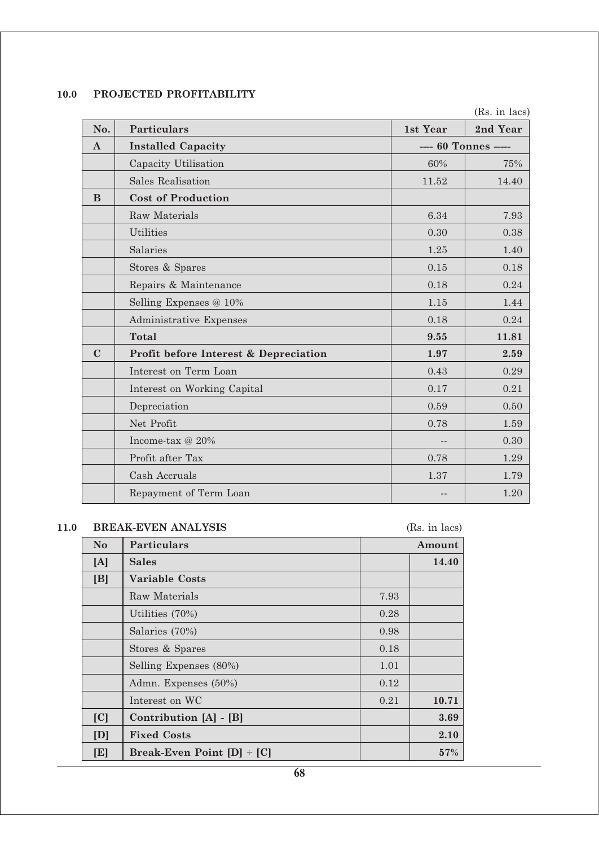# **10.0 PROJECTED PROFITABILITY**

(Rs. in lacs)

| No.          | <b>Particulars</b>                    | 1st Year             | 2nd Year |
|--------------|---------------------------------------|----------------------|----------|
| $\mathbf{A}$ | <b>Installed Capacity</b>             | ---- 60 Tonnes ----- |          |
|              | Capacity Utilisation                  | 60%                  | 75%      |
|              | Sales Realisation                     | 11.52                | 14.40    |
| B            | <b>Cost of Production</b>             |                      |          |
|              | Raw Materials                         | 6.34                 | 7.93     |
|              | <b>Utilities</b>                      | 0.30                 | 0.38     |
|              | Salaries                              | 1.25                 | 1.40     |
|              | Stores & Spares                       | 0.15                 | 0.18     |
|              | Repairs & Maintenance                 | 0.18                 | 0.24     |
|              | Selling Expenses @ 10%                | 1.15                 | 1.44     |
|              | Administrative Expenses               | 0.18                 | 0.24     |
|              | <b>Total</b>                          | 9.55                 | 11.81    |
| $\mathbf C$  | Profit before Interest & Depreciation | 1.97                 | 2.59     |
|              | Interest on Term Loan                 | 0.43                 | 0.29     |
|              | Interest on Working Capital           | 0.17                 | 0.21     |
|              | Depreciation                          | 0.59                 | 0.50     |
|              | Net Profit                            | 0.78                 | 1.59     |
|              | Income-tax @ 20%                      |                      | 0.30     |
|              | Profit after Tax                      | 0.78                 | 1.29     |
|              | Cash Accruals                         | 1.37                 | 1.79     |
|              | Repayment of Term Loan                |                      | 1.20     |

# **11.0 BREAK-EVEN ANALYSIS** (Rs. in lacs)

|                | $\left(100 \text{ Hz} \right)$ |      |        |  |
|----------------|--------------------------------|------|--------|--|
| N <sub>o</sub> | Particulars                    |      | Amount |  |
| [A]            | <b>Sales</b>                   |      | 14.40  |  |
| [B]            | <b>Variable Costs</b>          |      |        |  |
|                | Raw Materials                  | 7.93 |        |  |
|                | Utilities $(70\%)$             | 0.28 |        |  |
|                | Salaries (70%)                 | 0.98 |        |  |
|                | Stores & Spares                | 0.18 |        |  |
|                | Selling Expenses (80%)         | 1.01 |        |  |
|                | Admn. Expenses (50%)           | 0.12 |        |  |
|                | Interest on WC                 | 0.21 | 10.71  |  |
| [C]            | Contribution [A] - [B]         |      | 3.69   |  |
| [D]            | <b>Fixed Costs</b>             |      | 2.10   |  |
| [E]            | Break-Even Point [D] = [C]     |      | 57%    |  |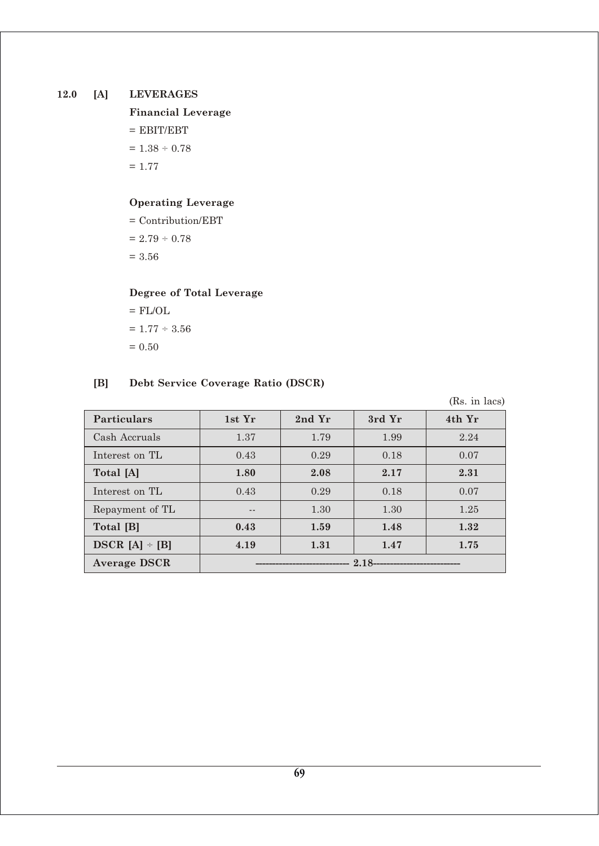## **12.0 [A] LEVERAGES**

**Financial Leverage**  $=$  EBIT/EBT  $= 1.38 \div 0.78$  $= 1.77$ 

# **Operating Leverage**

= Contribution/EBT  $= 2.79 \div 0.78$  $= 3.56$ 

# **Degree of Total Leverage**

 $=$  FL/OL  $= 1.77 \div 3.56$  $= 0.50$ 

## **[B] Debt Service Coverage Ratio (DSCR)**

(Rs. in lacs)

| <b>Particulars</b>  | 1st Yr                       | 2nd Yr | 3rd Yr | 4th Yr |
|---------------------|------------------------------|--------|--------|--------|
| Cash Accruals       | 1.37                         | 1.79   | 1.99   | 2.24   |
| Interest on TL      | 0.43                         | 0.29   | 0.18   | 0.07   |
| Total [A]           | 1.80                         | 2.08   | 2.17   | 2.31   |
| Interest on TL      | 0.43                         | 0.29   | 0.18   | 0.07   |
| Repayment of TL     |                              | 1.30   | 1.30   | 1.25   |
| Total [B]           | 0.43                         | 1.59   | 1.48   | 1.32   |
| $DSCR [A] \div [B]$ | 4.19                         | 1.31   | 1.47   | 1.75   |
| <b>Average DSCR</b> | ---------------------------- |        |        |        |